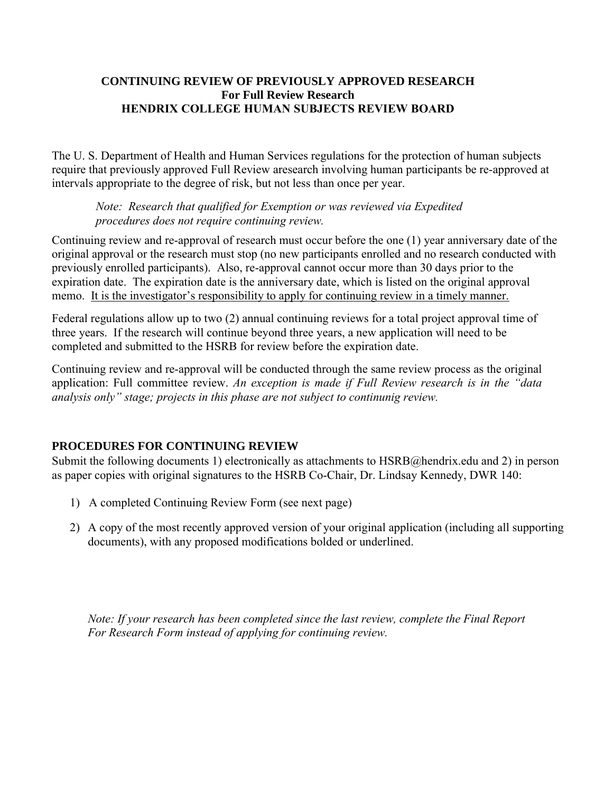#### **CONTINUING REVIEW OF PREVIOUSLY APPROVED RESEARCH For Full Review Research HENDRIX COLLEGE HUMAN SUBJECTS REVIEW BOARD**

The U. S. Department of Health and Human Services regulations for the protection of human subjects require that previously approved Full Review aresearch involving human participants be re-approved at intervals appropriate to the degree of risk, but not less than once per year.

## *Note: Research that qualified for Exemption or was reviewed via Expedited procedures does not require continuing review.*

Continuing review and re-approval of research must occur before the one (1) year anniversary date of the original approval or the research must stop (no new participants enrolled and no research conducted with previously enrolled participants). Also, re-approval cannot occur more than 30 days prior to the expiration date. The expiration date is the anniversary date, which is listed on the original approval memo. It is the investigator's responsibility to apply for continuing review in a timely manner.

Federal regulations allow up to two (2) annual continuing reviews for a total project approval time of three years. If the research will continue beyond three years, a new application will need to be completed and submitted to the HSRB for review before the expiration date.

Continuing review and re-approval will be conducted through the same review process as the original application: Full committee review. *An exception is made if Full Review research is in the "data analysis only" stage; projects in this phase are not subject to continunig review.*

# **PROCEDURES FOR CONTINUING REVIEW**

Submit the following documents 1) electronically as attachments to HSRB@hendrix.edu and 2) in person as paper copies with original signatures to the HSRB Co-Chair, Dr. Lindsay Kennedy, DWR 140:

- 1) A completed Continuing Review Form (see next page)
- 2) A copy of the most recently approved version of your original application (including all supporting documents), with any proposed modifications bolded or underlined.

*Note: If your research has been completed since the last review, complete the Final Report For Research Form instead of applying for continuing review.*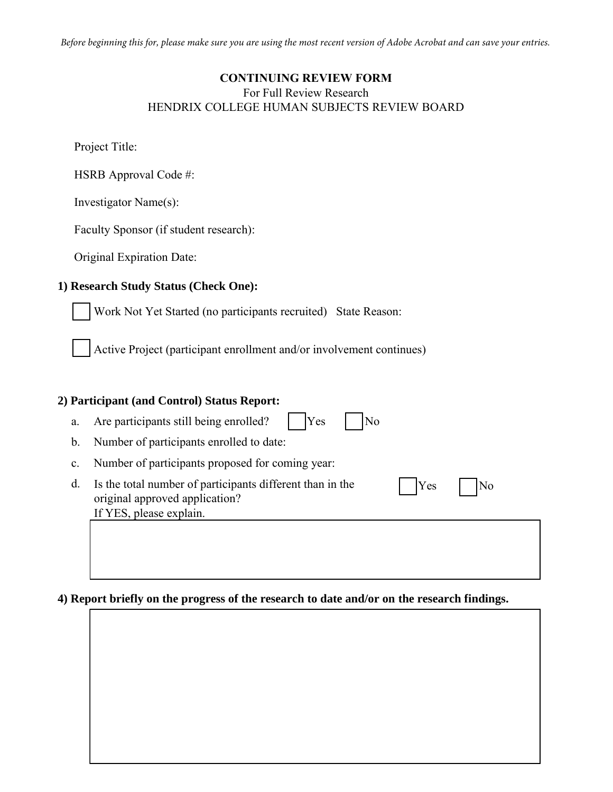*Before beginning this for, please make sure you are using the most recent version of Adobe Acrobat and can save your entries.*

### **CONTINUING REVIEW FORM**

#### For Full Review Research HENDRIX COLLEGE HUMAN SUBJECTS REVIEW BOARD

Project Title:

HSRB Approval Code #:

Investigator Name(s):

Faculty Sponsor (if student research):

Original Expiration Date:

### **1) Research Study Status (Check One):**

Work Not Yet Started (no participants recruited) State Reason:

Active Project (participant enrollment and/or involvement continues)

### **2) Participant (and Control) Status Report:**

| a. | Are participants still being enrolled? | <b>Yes</b> | $\vert$ No |
|----|----------------------------------------|------------|------------|
|----|----------------------------------------|------------|------------|

b. Number of participants enrolled to date:

- c. Number of participants proposed for coming year:
- d. Is the total number of participants different than in the  $Y_{\text{es}}$   $N_{\text{0}}$ original approved application? If YES, please explain.

### **4) Report briefly on the progress of the research to date and/or on the research findings.**